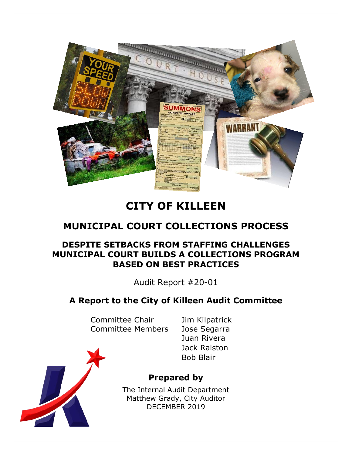

# **CITY OF KILLEEN**

# **MUNICIPAL COURT COLLECTIONS PROCESS**

## **DESPITE SETBACKS FROM STAFFING CHALLENGES MUNICIPAL COURT BUILDS A COLLECTIONS PROGRAM BASED ON BEST PRACTICES**

Audit Report #20-01

## **A Report to the City of Killeen Audit Committee**

Committee Chair Jim Kilpatrick Committee Members Jose Segarra

Juan Rivera Jack Ralston Bob Blair

## **Prepared by**

The Internal Audit Department Matthew Grady, City Auditor DECEMBER 2019

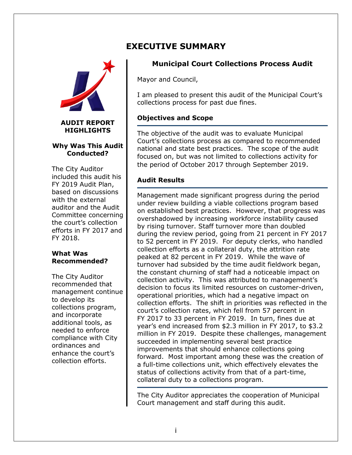



#### **Why Was This Audit Conducted?**

The City Auditor included this audit his FY 2019 Audit Plan, based on discussions with the external auditor and the Audit Committee concerning the court's collection efforts in FY 2017 and FY 2018.

#### **What Was Recommended?**

The City Auditor recommended that management continue to develop its collections program, and incorporate additional tools, as needed to enforce compliance with City ordinances and enhance the court's collection efforts.

## **EXECUTIVE SUMMARY**

## **Municipal Court Collections Process Audit**

Mayor and Council,

I am pleased to present this audit of the Municipal Court's collections process for past due fines.

### **Objectives and Scope**

The objective of the audit was to evaluate Municipal Court's collections process as compared to recommended national and state best practices. The scope of the audit focused on, but was not limited to collections activity for the period of October 2017 through September 2019.

### **Audit Results**

Management made significant progress during the period under review building a viable collections program based on established best practices. However, that progress was overshadowed by increasing workforce instability caused by rising turnover. Staff turnover more than doubled during the review period, going from 21 percent in FY 2017 to 52 percent in FY 2019. For deputy clerks, who handled collection efforts as a collateral duty, the attrition rate peaked at 82 percent in FY 2019. While the wave of turnover had subsided by the time audit fieldwork began, the constant churning of staff had a noticeable impact on collection activity. This was attributed to management's decision to focus its limited resources on customer-driven, operational priorities, which had a negative impact on collection efforts. The shift in priorities was reflected in the court's collection rates, which fell from 57 percent in FY 2017 to 33 percent in FY 2019. In turn, fines due at year's end increased from \$2.3 million in FY 2017, to \$3.2 million in FY 2019. Despite these challenges, management succeeded in implementing several best practice improvements that should enhance collections going forward. Most important among these was the creation of a full-time collections unit, which effectively elevates the status of collections activity from that of a part-time, collateral duty to a collections program.

The City Auditor appreciates the cooperation of Municipal Court management and staff during this audit.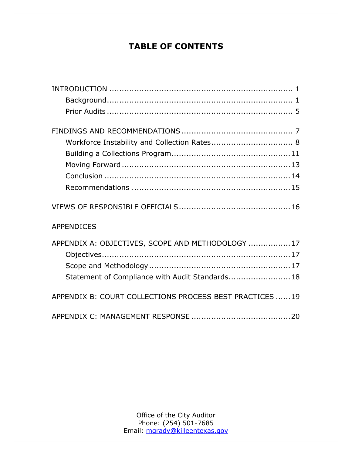## **TABLE OF CONTENTS**

| <b>APPENDICES</b>                                       |
|---------------------------------------------------------|
| APPENDIX A: OBJECTIVES, SCOPE AND METHODOLOGY  17       |
|                                                         |
|                                                         |
| Statement of Compliance with Audit Standards 18         |
| APPENDIX B: COURT COLLECTIONS PROCESS BEST PRACTICES 19 |
|                                                         |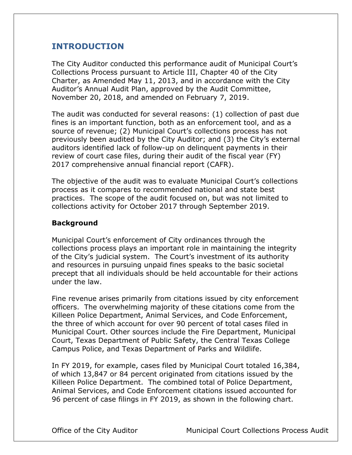## <span id="page-3-0"></span>**INTRODUCTION**

The City Auditor conducted this performance audit of Municipal Court's Collections Process pursuant to Article III, Chapter 40 of the City Charter, as Amended May 11, 2013, and in accordance with the City Auditor's Annual Audit Plan, approved by the Audit Committee, November 20, 2018, and amended on February 7, 2019.

The audit was conducted for several reasons: (1) collection of past due fines is an important function, both as an enforcement tool, and as a source of revenue; (2) Municipal Court's collections process has not previously been audited by the City Auditor; and (3) the City's external auditors identified lack of follow-up on delinquent payments in their review of court case files, during their audit of the fiscal year (FY) 2017 comprehensive annual financial report (CAFR).

The objective of the audit was to evaluate Municipal Court's collections process as it compares to recommended national and state best practices. The scope of the audit focused on, but was not limited to collections activity for October 2017 through September 2019.

#### <span id="page-3-1"></span>**Background**

Municipal Court's enforcement of City ordinances through the collections process plays an important role in maintaining the integrity of the City's judicial system. The Court's investment of its authority and resources in pursuing unpaid fines speaks to the basic societal precept that all individuals should be held accountable for their actions under the law.

Fine revenue arises primarily from citations issued by city enforcement officers. The overwhelming majority of these citations come from the Killeen Police Department, Animal Services, and Code Enforcement, the three of which account for over 90 percent of total cases filed in Municipal Court. Other sources include the Fire Department, Municipal Court, Texas Department of Public Safety, the Central Texas College Campus Police, and Texas Department of Parks and Wildlife.

In FY 2019, for example, cases filed by Municipal Court totaled 16,384, of which 13,847 or 84 percent originated from citations issued by the Killeen Police Department. The combined total of Police Department, Animal Services, and Code Enforcement citations issued accounted for 96 percent of case filings in FY 2019, as shown in the following chart.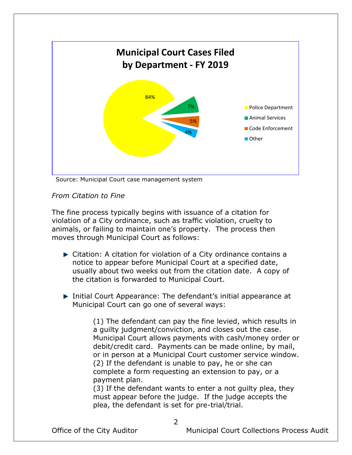

Source: Municipal Court case management system

### *From Citation to Fine*

The fine process typically begins with issuance of a citation for violation of a City ordinance, such as traffic violation, cruelty to animals, or failing to maintain one's property. The process then moves through Municipal Court as follows:

- Citation: A citation for violation of a City ordinance contains a notice to appear before Municipal Court at a specified date, usually about two weeks out from the citation date. A copy of the citation is forwarded to Municipal Court.
- ▶ Initial Court Appearance: The defendant's initial appearance at Municipal Court can go one of several ways:

(1) The defendant can pay the fine levied, which results in a guilty judgment/conviction, and closes out the case. Municipal Court allows payments with cash/money order or debit/credit card. Payments can be made online, by mail, or in person at a Municipal Court customer service window. (2) If the defendant is unable to pay, he or she can complete a form requesting an extension to pay, or a payment plan.

(3) If the defendant wants to enter a not guilty plea, they must appear before the judge. If the judge accepts the plea, the defendant is set for pre-trial/trial.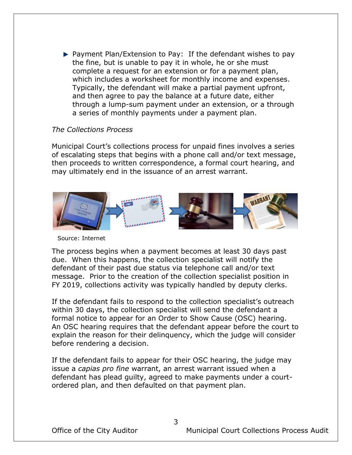$\blacktriangleright$  Payment Plan/Extension to Pay: If the defendant wishes to pay the fine, but is unable to pay it in whole, he or she must complete a request for an extension or for a payment plan, which includes a worksheet for monthly income and expenses. Typically, the defendant will make a partial payment upfront, and then agree to pay the balance at a future date, either through a lump-sum payment under an extension, or a through a series of monthly payments under a payment plan.

#### *The Collections Process*

Municipal Court's collections process for unpaid fines involves a series of escalating steps that begins with a phone call and/or text message, then proceeds to written correspondence, a formal court hearing, and may ultimately end in the issuance of an arrest warrant.



Source: Internet

The process begins when a payment becomes at least 30 days past due. When this happens, the collection specialist will notify the defendant of their past due status via telephone call and/or text message. Prior to the creation of the collection specialist position in FY 2019, collections activity was typically handled by deputy clerks.

If the defendant fails to respond to the collection specialist's outreach within 30 days, the collection specialist will send the defendant a formal notice to appear for an Order to Show Cause (OSC) hearing. An OSC hearing requires that the defendant appear before the court to explain the reason for their delinquency, which the judge will consider before rendering a decision.

If the defendant fails to appear for their OSC hearing, the judge may issue a *capias pro fine* warrant, an arrest warrant issued when a defendant has plead guilty, agreed to make payments under a courtordered plan, and then defaulted on that payment plan.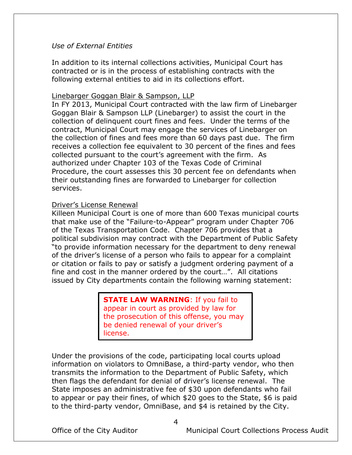#### *Use of External Entities*

In addition to its internal collections activities, Municipal Court has contracted or is in the process of establishing contracts with the following external entities to aid in its collections effort.

#### Linebarger Goggan Blair & Sampson, LLP

In FY 2013, Municipal Court contracted with the law firm of Linebarger Goggan Blair & Sampson LLP (Linebarger) to assist the court in the collection of delinquent court fines and fees. Under the terms of the contract, Municipal Court may engage the services of Linebarger on the collection of fines and fees more than 60 days past due. The firm receives a collection fee equivalent to 30 percent of the fines and fees collected pursuant to the court's agreement with the firm. As authorized under Chapter 103 of the Texas Code of Criminal Procedure, the court assesses this 30 percent fee on defendants when their outstanding fines are forwarded to Linebarger for collection services.

#### Driver's License Renewal

Killeen Municipal Court is one of more than 600 Texas municipal courts that make use of the "Failure-to-Appear" program under Chapter 706 of the Texas Transportation Code. Chapter 706 provides that a political subdivision may contract with the Department of Public Safety "to provide information necessary for the department to deny renewal of the driver's license of a person who fails to appear for a complaint or citation or fails to pay or satisfy a judgment ordering payment of a fine and cost in the manner ordered by the court…". All citations issued by City departments contain the following warning statement:

#### **STATE LAW WARNING: If you fail to** appear in court as provided by law for the prosecution of this offense, you may be denied renewal of your driver's license.

Under the provisions of the code, participating local courts upload information on violators to OmniBase, a third-party vendor, who then transmits the information to the Department of Public Safety, which then flags the defendant for denial of driver's license renewal. The State imposes an administrative fee of \$30 upon defendants who fail to appear or pay their fines, of which \$20 goes to the State, \$6 is paid to the third-party vendor, OmniBase, and \$4 is retained by the City.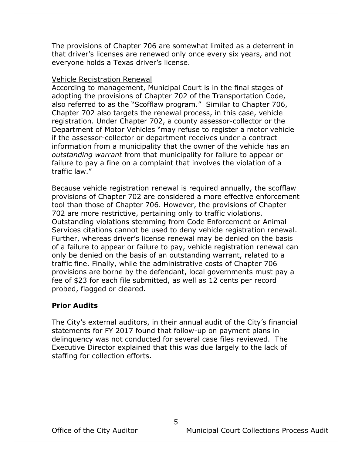The provisions of Chapter 706 are somewhat limited as a deterrent in that driver's licenses are renewed only once every six years, and not everyone holds a Texas driver's license.

#### Vehicle Registration Renewal

According to management, Municipal Court is in the final stages of adopting the provisions of Chapter 702 of the Transportation Code, also referred to as the "Scofflaw program." Similar to Chapter 706, Chapter 702 also targets the renewal process, in this case, vehicle registration. Under Chapter 702, a county assessor-collector or the Department of Motor Vehicles "may refuse to register a motor vehicle if the assessor-collector or department receives under a contract information from a municipality that the owner of the vehicle has an *outstanding warrant* from that municipality for failure to appear or failure to pay a fine on a complaint that involves the violation of a traffic law."

Because vehicle registration renewal is required annually, the scofflaw provisions of Chapter 702 are considered a more effective enforcement tool than those of Chapter 706. However, the provisions of Chapter 702 are more restrictive, pertaining only to traffic violations. Outstanding violations stemming from Code Enforcement or Animal Services citations cannot be used to deny vehicle registration renewal. Further, whereas driver's license renewal may be denied on the basis of a failure to appear or failure to pay, vehicle registration renewal can only be denied on the basis of an outstanding warrant, related to a traffic fine. Finally, while the administrative costs of Chapter 706 provisions are borne by the defendant, local governments must pay a fee of \$23 for each file submitted, as well as 12 cents per record probed, flagged or cleared.

#### <span id="page-7-0"></span>**Prior Audits**

The City's external auditors, in their annual audit of the City's financial statements for FY 2017 found that follow-up on payment plans in delinquency was not conducted for several case files reviewed. The Executive Director explained that this was due largely to the lack of staffing for collection efforts.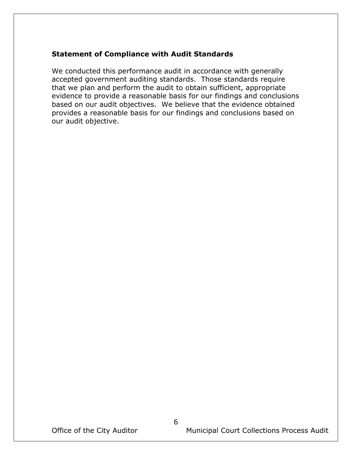### **Statement of Compliance with Audit Standards**

We conducted this performance audit in accordance with generally accepted government auditing standards. Those standards require that we plan and perform the audit to obtain sufficient, appropriate evidence to provide a reasonable basis for our findings and conclusions based on our audit objectives. We believe that the evidence obtained provides a reasonable basis for our findings and conclusions based on our audit objective.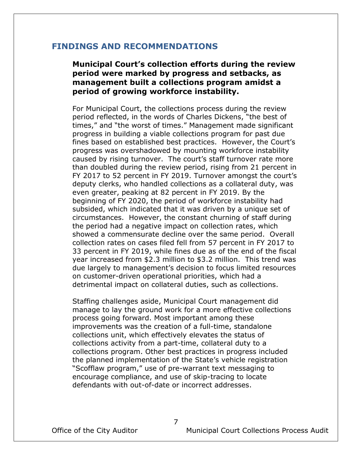### <span id="page-9-0"></span>**FINDINGS AND RECOMMENDATIONS**

## **Municipal Court's collection efforts during the review period were marked by progress and setbacks, as management built a collections program amidst a period of growing workforce instability.**

For Municipal Court, the collections process during the review period reflected, in the words of Charles Dickens, "the best of times," and "the worst of times." Management made significant progress in building a viable collections program for past due fines based on established best practices. However, the Court's progress was overshadowed by mounting workforce instability caused by rising turnover. The court's staff turnover rate more than doubled during the review period, rising from 21 percent in FY 2017 to 52 percent in FY 2019. Turnover amongst the court's deputy clerks, who handled collections as a collateral duty, was even greater, peaking at 82 percent in FY 2019. By the beginning of FY 2020, the period of workforce instability had subsided, which indicated that it was driven by a unique set of circumstances. However, the constant churning of staff during the period had a negative impact on collection rates, which showed a commensurate decline over the same period. Overall collection rates on cases filed fell from 57 percent in FY 2017 to 33 percent in FY 2019, while fines due as of the end of the fiscal year increased from \$2.3 million to \$3.2 million. This trend was due largely to management's decision to focus limited resources on customer-driven operational priorities, which had a detrimental impact on collateral duties, such as collections.

Staffing challenges aside, Municipal Court management did manage to lay the ground work for a more effective collections process going forward. Most important among these improvements was the creation of a full-time, standalone collections unit, which effectively elevates the status of collections activity from a part-time, collateral duty to a collections program. Other best practices in progress included the planned implementation of the State's vehicle registration "Scofflaw program," use of pre-warrant text messaging to encourage compliance, and use of skip-tracing to locate defendants with out-of-date or incorrect addresses.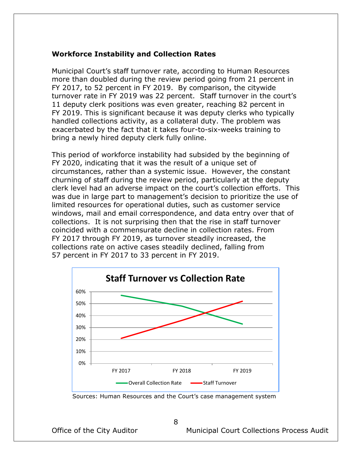#### <span id="page-10-0"></span>**Workforce Instability and Collection Rates**

Municipal Court's staff turnover rate, according to Human Resources more than doubled during the review period going from 21 percent in FY 2017, to 52 percent in FY 2019. By comparison, the citywide turnover rate in FY 2019 was 22 percent. Staff turnover in the court's 11 deputy clerk positions was even greater, reaching 82 percent in FY 2019. This is significant because it was deputy clerks who typically handled collections activity, as a collateral duty. The problem was exacerbated by the fact that it takes four-to-six-weeks training to bring a newly hired deputy clerk fully online.

This period of workforce instability had subsided by the beginning of FY 2020, indicating that it was the result of a unique set of circumstances, rather than a systemic issue. However, the constant churning of staff during the review period, particularly at the deputy clerk level had an adverse impact on the court's collection efforts. This was due in large part to management's decision to prioritize the use of limited resources for operational duties, such as customer service windows, mail and email correspondence, and data entry over that of collections. It is not surprising then that the rise in staff turnover coincided with a commensurate decline in collection rates. From FY 2017 through FY 2019, as turnover steadily increased, the collections rate on active cases steadily declined, falling from 57 percent in FY 2017 to 33 percent in FY 2019.



Sources: Human Resources and the Court's case management system

8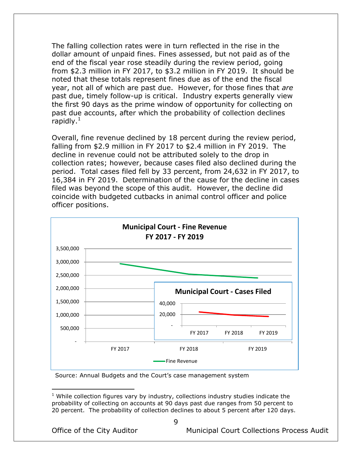The falling collection rates were in turn reflected in the rise in the dollar amount of unpaid fines. Fines assessed, but not paid as of the end of the fiscal year rose steadily during the review period, going from \$2.3 million in FY 2017, to \$3.2 million in FY 2019. It should be noted that these totals represent fines due as of the end the fiscal year, not all of which are past due. However, for those fines that *are* past due, timely follow-up is critical. Industry experts generally view the first 90 days as the prime window of opportunity for collecting on past due accounts, after which the probability of collection declines rapidly. $<sup>1</sup>$ </sup>

Overall, fine revenue declined by 18 percent during the review period, falling from \$2.9 million in FY 2017 to \$2.4 million in FY 2019. The decline in revenue could not be attributed solely to the drop in collection rates; however, because cases filed also declined during the period. Total cases filed fell by 33 percent, from 24,632 in FY 2017, to 16,384 in FY 2019. Determination of the cause for the decline in cases filed was beyond the scope of this audit. However, the decline did coincide with budgeted cutbacks in animal control officer and police officer positions.



Source: Annual Budgets and the Court's case management system

 $\overline{a}$ 

Office of the City Auditor **Municipal Court Collections Process Audit** 

 $1$  While collection figures vary by industry, collections industry studies indicate the probability of collecting on accounts at 90 days past due ranges from 50 percent to 20 percent. The probability of collection declines to about 5 percent after 120 days.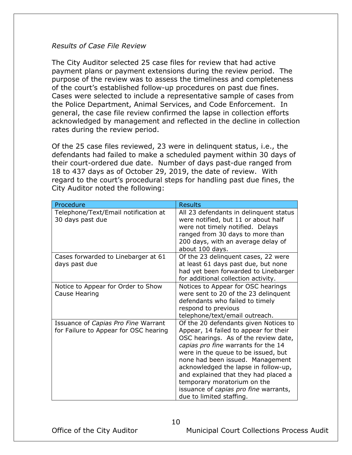#### *Results of Case File Review*

The City Auditor selected 25 case files for review that had active payment plans or payment extensions during the review period. The purpose of the review was to assess the timeliness and completeness of the court's established follow-up procedures on past due fines. Cases were selected to include a representative sample of cases from the Police Department, Animal Services, and Code Enforcement. In general, the case file review confirmed the lapse in collection efforts acknowledged by management and reflected in the decline in collection rates during the review period.

Of the 25 case files reviewed, 23 were in delinquent status, i.e., the defendants had failed to make a scheduled payment within 30 days of their court-ordered due date. Number of days past-due ranged from 18 to 437 days as of October 29, 2019, the date of review. With regard to the court's procedural steps for handling past due fines, the City Auditor noted the following:

| Procedure                                                                    | <b>Results</b>                                                                                                                                                                                                                                                                                                                                                                                                               |
|------------------------------------------------------------------------------|------------------------------------------------------------------------------------------------------------------------------------------------------------------------------------------------------------------------------------------------------------------------------------------------------------------------------------------------------------------------------------------------------------------------------|
| Telephone/Text/Email notification at<br>30 days past due                     | All 23 defendants in delinquent status<br>were notified, but 11 or about half<br>were not timely notified. Delays<br>ranged from 30 days to more than<br>200 days, with an average delay of<br>about 100 days.                                                                                                                                                                                                               |
| Cases forwarded to Linebarger at 61<br>days past due                         | Of the 23 delinguent cases, 22 were<br>at least 61 days past due, but none<br>had yet been forwarded to Linebarger<br>for additional collection activity.                                                                                                                                                                                                                                                                    |
| Notice to Appear for Order to Show<br>Cause Hearing                          | Notices to Appear for OSC hearings<br>were sent to 20 of the 23 delinquent<br>defendants who failed to timely<br>respond to previous<br>telephone/text/email outreach.                                                                                                                                                                                                                                                       |
| Issuance of Capias Pro Fine Warrant<br>for Failure to Appear for OSC hearing | Of the 20 defendants given Notices to<br>Appear, 14 failed to appear for their<br>OSC hearings. As of the review date,<br>capias pro fine warrants for the 14<br>were in the queue to be issued, but<br>none had been issued. Management<br>acknowledged the lapse in follow-up,<br>and explained that they had placed a<br>temporary moratorium on the<br>issuance of capias pro fine warrants,<br>due to limited staffing. |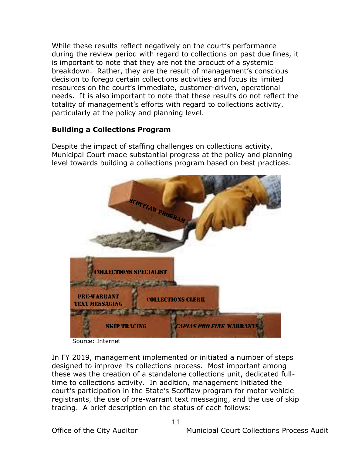While these results reflect negatively on the court's performance during the review period with regard to collections on past due fines, it is important to note that they are not the product of a systemic breakdown. Rather, they are the result of management's conscious decision to forego certain collections activities and focus its limited resources on the court's immediate, customer-driven, operational needs. It is also important to note that these results do not reflect the totality of management's efforts with regard to collections activity, particularly at the policy and planning level.

## <span id="page-13-0"></span>**Building a Collections Program**

Despite the impact of staffing challenges on collections activity, Municipal Court made substantial progress at the policy and planning level towards building a collections program based on best practices.



Source: Internet

In FY 2019, management implemented or initiated a number of steps designed to improve its collections process. Most important among these was the creation of a standalone collections unit, dedicated fulltime to collections activity. In addition, management initiated the court's participation in the State's Scofflaw program for motor vehicle registrants, the use of pre-warrant text messaging, and the use of skip tracing. A brief description on the status of each follows: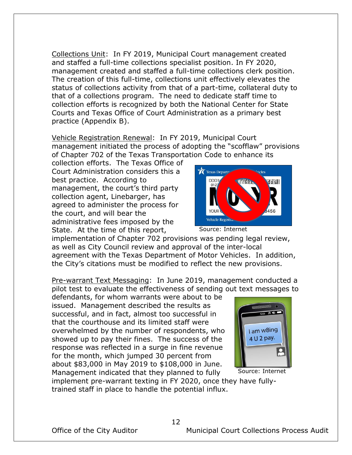Collections Unit: In FY 2019, Municipal Court management created and staffed a full-time collections specialist position. In FY 2020, management created and staffed a full-time collections clerk position. The creation of this full-time, collections unit effectively elevates the status of collections activity from that of a part-time, collateral duty to that of a collections program. The need to dedicate staff time to collection efforts is recognized by both the National Center for State Courts and Texas Office of Court Administration as a primary best practice (Appendix B).

Vehicle Registration Renewal: In FY 2019, Municipal Court management initiated the process of adopting the "scofflaw" provisions of Chapter 702 of the Texas Transportation Code to enhance its

collection efforts. The Texas Office of Court Administration considers this a best practice. According to management, the court's third party collection agent, Linebarger, has agreed to administer the process for the court, and will bear the administrative fees imposed by the State. At the time of this report,



Source: Internet

implementation of Chapter 702 provisions was pending legal review, as well as City Council review and approval of the inter-local agreement with the Texas Department of Motor Vehicles. In addition, the City's citations must be modified to reflect the new provisions.

Pre-warrant Text Messaging: In June 2019, management conducted a pilot test to evaluate the effectiveness of sending out text messages to

defendants, for whom warrants were about to be issued. Management described the results as successful, and in fact, almost too successful in that the courthouse and its limited staff were overwhelmed by the number of respondents, who showed up to pay their fines. The success of the response was reflected in a surge in fine revenue for the month, which jumped 30 percent from about \$83,000 in May 2019 to \$108,000 in June. Management indicated that they planned to fully



Source: Internet

implement pre-warrant texting in FY 2020, once they have fullytrained staff in place to handle the potential influx.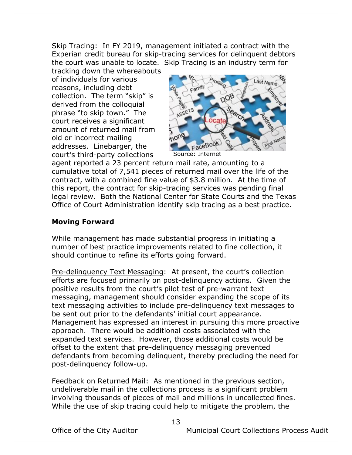Skip Tracing: In FY 2019, management initiated a contract with the Experian credit bureau for skip-tracing services for delinquent debtors the court was unable to locate. Skip Tracing is an industry term for

tracking down the whereabouts of individuals for various reasons, including debt collection. The term "skip" is derived from the colloquial phrase "to skip town." The court receives a significant amount of returned mail from old or incorrect mailing addresses. Linebarger, the court's third-party collections



agent reported a 23 percent return mail rate, amounting to a cumulative total of 7,541 pieces of returned mail over the life of the contract, with a combined fine value of \$3.8 million. At the time of this report, the contract for skip-tracing services was pending final legal review. Both the National Center for State Courts and the Texas Office of Court Administration identify skip tracing as a best practice.

## <span id="page-15-0"></span>**Moving Forward**

While management has made substantial progress in initiating a number of best practice improvements related to fine collection, it should continue to refine its efforts going forward.

Pre-delinquency Text Messaging: At present, the court's collection efforts are focused primarily on post-delinquency actions. Given the positive results from the court's pilot test of pre-warrant text messaging, management should consider expanding the scope of its text messaging activities to include pre-delinquency text messages to be sent out prior to the defendants' initial court appearance. Management has expressed an interest in pursuing this more proactive approach. There would be additional costs associated with the expanded text services. However, those additional costs would be offset to the extent that pre-delinquency messaging prevented defendants from becoming delinquent, thereby precluding the need for post-delinquency follow-up.

Feedback on Returned Mail: As mentioned in the previous section, undeliverable mail in the collections process is a significant problem involving thousands of pieces of mail and millions in uncollected fines. While the use of skip tracing could help to mitigate the problem, the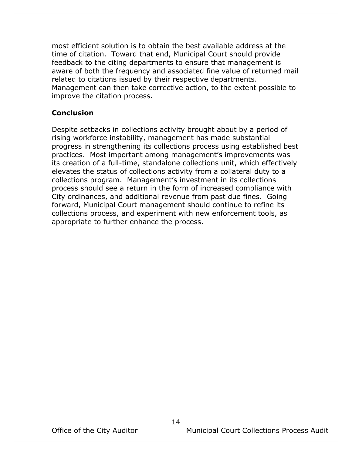most efficient solution is to obtain the best available address at the time of citation. Toward that end, Municipal Court should provide feedback to the citing departments to ensure that management is aware of both the frequency and associated fine value of returned mail related to citations issued by their respective departments. Management can then take corrective action, to the extent possible to improve the citation process.

#### <span id="page-16-0"></span>**Conclusion**

Despite setbacks in collections activity brought about by a period of rising workforce instability, management has made substantial progress in strengthening its collections process using established best practices. Most important among management's improvements was its creation of a full-time, standalone collections unit, which effectively elevates the status of collections activity from a collateral duty to a collections program. Management's investment in its collections process should see a return in the form of increased compliance with City ordinances, and additional revenue from past due fines. Going forward, Municipal Court management should continue to refine its collections process, and experiment with new enforcement tools, as appropriate to further enhance the process.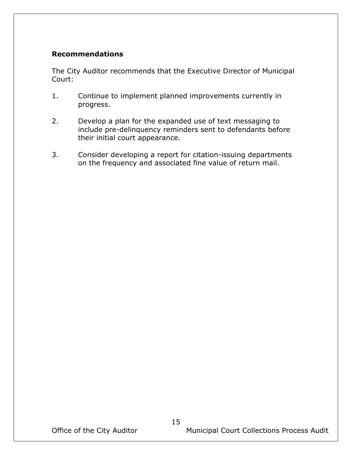### <span id="page-17-0"></span>**Recommendations**

The City Auditor recommends that the Executive Director of Municipal Court:

- 1. Continue to implement planned improvements currently in progress.
- 2. Develop a plan for the expanded use of text messaging to include pre-delinquency reminders sent to defendants before their initial court appearance.
- 3. Consider developing a report for citation-issuing departments on the frequency and associated fine value of return mail.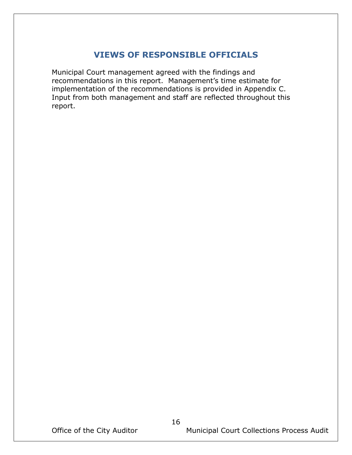## **VIEWS OF RESPONSIBLE OFFICIALS**

<span id="page-18-0"></span>Municipal Court management agreed with the findings and recommendations in this report. Management's time estimate for implementation of the recommendations is provided in Appendix C. Input from both management and staff are reflected throughout this report.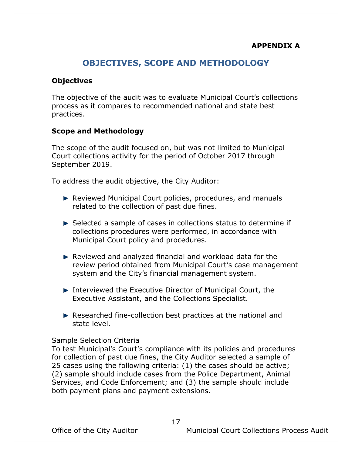## **APPENDIX A**

## **OBJECTIVES, SCOPE AND METHODOLOGY**

#### <span id="page-19-1"></span><span id="page-19-0"></span>**Objectives**

The objective of the audit was to evaluate Municipal Court's collections process as it compares to recommended national and state best practices.

#### <span id="page-19-2"></span>**Scope and Methodology**

The scope of the audit focused on, but was not limited to Municipal Court collections activity for the period of October 2017 through September 2019.

To address the audit objective, the City Auditor:

- ▶ Reviewed Municipal Court policies, procedures, and manuals related to the collection of past due fines.
- Selected a sample of cases in collections status to determine if collections procedures were performed, in accordance with Municipal Court policy and procedures.
- Reviewed and analyzed financial and workload data for the review period obtained from Municipal Court's case management system and the City's financial management system.
- ▶ Interviewed the Executive Director of Municipal Court, the Executive Assistant, and the Collections Specialist.
- Researched fine-collection best practices at the national and state level.

#### Sample Selection Criteria

To test Municipal's Court's compliance with its policies and procedures for collection of past due fines, the City Auditor selected a sample of 25 cases using the following criteria: (1) the cases should be active; (2) sample should include cases from the Police Department, Animal Services, and Code Enforcement; and (3) the sample should include both payment plans and payment extensions.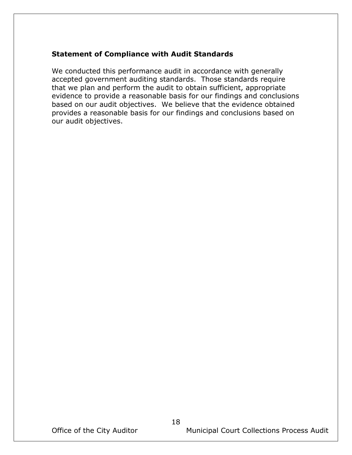### <span id="page-20-0"></span>**Statement of Compliance with Audit Standards**

We conducted this performance audit in accordance with generally accepted government auditing standards. Those standards require that we plan and perform the audit to obtain sufficient, appropriate evidence to provide a reasonable basis for our findings and conclusions based on our audit objectives. We believe that the evidence obtained provides a reasonable basis for our findings and conclusions based on our audit objectives.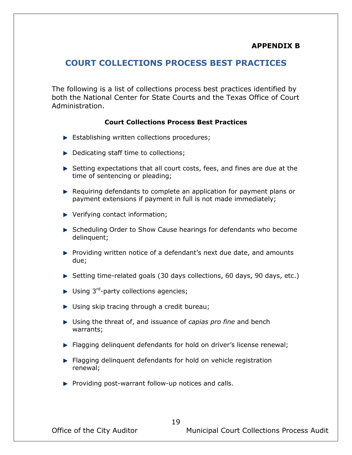## <span id="page-21-0"></span>**COURT COLLECTIONS PROCESS BEST PRACTICES**

The following is a list of collections process best practices identified by both the National Center for State Courts and the Texas Office of Court Administration.

#### **Court Collections Process Best Practices**

- Establishing written collections procedures;
- Dedicating staff time to collections;
- $\blacktriangleright$  Setting expectations that all court costs, fees, and fines are due at the time of sentencing or pleading;
- $\blacktriangleright$  Requiring defendants to complete an application for payment plans or payment extensions if payment in full is not made immediately;
- ▶ Verifying contact information;
- Scheduling Order to Show Cause hearings for defendants who become delinquent;
- Providing written notice of a defendant's next due date, and amounts due;
- Setting time-related goals (30 days collections, 60 days, 90 days, etc.)
- Using 3<sup>rd</sup>-party collections agencies;
- ▶ Using skip tracing through a credit bureau;
- Using the threat of, and issuance of *capias pro fine* and bench warrants;
- **Fiagging delinguent defendants for hold on driver's license renewal;**
- **Flagging delinguent defendants for hold on vehicle registration** renewal;
- $\blacktriangleright$  Providing post-warrant follow-up notices and calls.